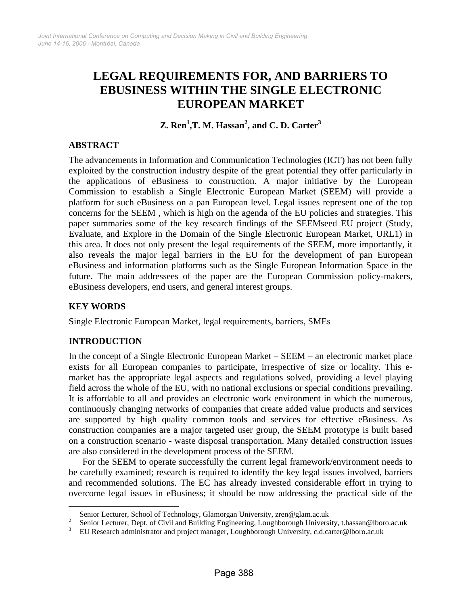# **LEGAL REQUIREMENTS FOR, AND BARRIERS TO EBUSINESS WITHIN THE SINGLE ELECTRONIC EUROPEAN MARKET**

 $\mathbf{Z}.$   $\mathbf{Ren}^1, \mathbf{T}.$   $\mathbf{M}.$   $\mathbf{Hassan}^2,$  and  $\mathbf{C}.$   $\mathbf{D}.$   $\mathbf{Carter}^3$ 

### **ABSTRACT**

The advancements in Information and Communication Technologies (ICT) has not been fully exploited by the construction industry despite of the great potential they offer particularly in the applications of eBusiness to construction. A major initiative by the European Commission to establish a Single Electronic European Market (SEEM) will provide a platform for such eBusiness on a pan European level. Legal issues represent one of the top concerns for the SEEM , which is high on the agenda of the EU policies and strategies. This paper summaries some of the key research findings of the SEEMseed EU project (Study, Evaluate, and Explore in the Domain of the Single Electronic European Market, URL1) in this area. It does not only present the legal requirements of the SEEM, more importantly, it also reveals the major legal barriers in the EU for the development of pan European eBusiness and information platforms such as the Single European Information Space in the future. The main addressees of the paper are the European Commission policy-makers, eBusiness developers, end users, and general interest groups.

### **KEY WORDS**

 $\overline{a}$ 

Single Electronic European Market, legal requirements, barriers, SMEs

### **INTRODUCTION**

In the concept of a Single Electronic European Market – SEEM – an electronic market place exists for all European companies to participate, irrespective of size or locality. This emarket has the appropriate legal aspects and regulations solved, providing a level playing field across the whole of the EU, with no national exclusions or special conditions prevailing. It is affordable to all and provides an electronic work environment in which the numerous, continuously changing networks of companies that create added value products and services are supported by high quality common tools and services for effective eBusiness. As construction companies are a major targeted user group, the SEEM prototype is built based on a construction scenario - waste disposal transportation. Many detailed construction issues are also considered in the development process of the SEEM.

For the SEEM to operate successfully the current legal framework/environment needs to be carefully examined; research is required to identify the key legal issues involved, barriers and recommended solutions. The EC has already invested considerable effort in trying to overcome legal issues in eBusiness; it should be now addressing the practical side of the

Senior Lecturer, School of Technology, Glamorgan University, zren@glam.ac.uk<br>
Senior Lecturer, Dept. of Civil and Building Engineering, Loughborough University, t.hassan@lboro.ac.uk<br>
EU Research administrator and project m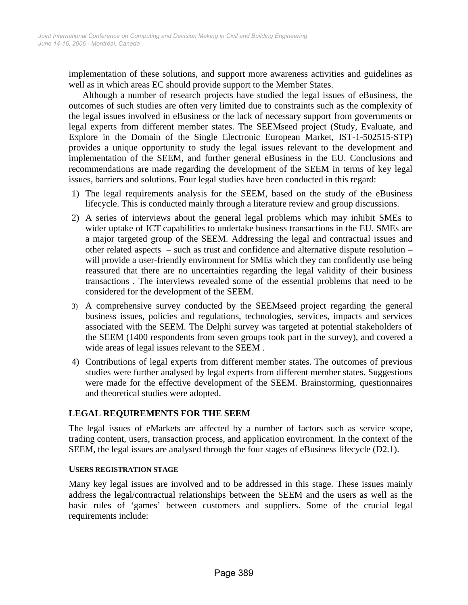implementation of these solutions, and support more awareness activities and guidelines as well as in which areas EC should provide support to the Member States.

Although a number of research projects have studied the legal issues of eBusiness, the outcomes of such studies are often very limited due to constraints such as the complexity of the legal issues involved in eBusiness or the lack of necessary support from governments or legal experts from different member states. The SEEMseed project (Study, Evaluate, and Explore in the Domain of the Single Electronic European Market, IST-1-502515-STP) provides a unique opportunity to study the legal issues relevant to the development and implementation of the SEEM, and further general eBusiness in the EU. Conclusions and recommendations are made regarding the development of the SEEM in terms of key legal issues, barriers and solutions. Four legal studies have been conducted in this regard:

- 1) The legal requirements analysis for the SEEM, based on the study of the eBusiness lifecycle. This is conducted mainly through a literature review and group discussions.
- 2) A series of interviews about the general legal problems which may inhibit SMEs to wider uptake of ICT capabilities to undertake business transactions in the EU. SMEs are a major targeted group of the SEEM. Addressing the legal and contractual issues and other related aspects – such as trust and confidence and alternative dispute resolution – will provide a user-friendly environment for SMEs which they can confidently use being reassured that there are no uncertainties regarding the legal validity of their business transactions . The interviews revealed some of the essential problems that need to be considered for the development of the SEEM.
- 3) A comprehensive survey conducted by the SEEMseed project regarding the general business issues, policies and regulations, technologies, services, impacts and services associated with the SEEM. The Delphi survey was targeted at potential stakeholders of the SEEM (1400 respondents from seven groups took part in the survey), and covered a wide areas of legal issues relevant to the SEEM .
- 4) Contributions of legal experts from different member states. The outcomes of previous studies were further analysed by legal experts from different member states. Suggestions were made for the effective development of the SEEM. Brainstorming, questionnaires and theoretical studies were adopted.

### **LEGAL REQUIREMENTS FOR THE SEEM**

The legal issues of eMarkets are affected by a number of factors such as service scope, trading content, users, transaction process, and application environment. In the context of the SEEM, the legal issues are analysed through the four stages of eBusiness lifecycle (D2.1).

#### **USERS REGISTRATION STAGE**

Many key legal issues are involved and to be addressed in this stage. These issues mainly address the legal/contractual relationships between the SEEM and the users as well as the basic rules of 'games' between customers and suppliers. Some of the crucial legal requirements include: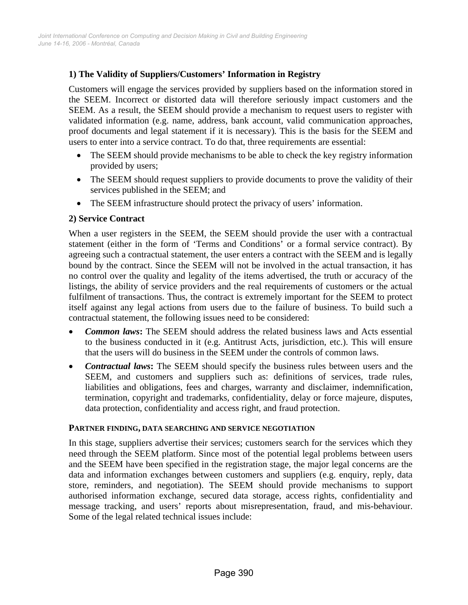# **1) The Validity of Suppliers/Customers' Information in Registry**

Customers will engage the services provided by suppliers based on the information stored in the SEEM. Incorrect or distorted data will therefore seriously impact customers and the SEEM. As a result, the SEEM should provide a mechanism to request users to register with validated information (e.g. name, address, bank account, valid communication approaches, proof documents and legal statement if it is necessary). This is the basis for the SEEM and users to enter into a service contract. To do that, three requirements are essential:

- The SEEM should provide mechanisms to be able to check the key registry information provided by users;
- The SEEM should request suppliers to provide documents to prove the validity of their services published in the SEEM; and
- The SEEM infrastructure should protect the privacy of users' information.

#### **2) Service Contract**

When a user registers in the SEEM, the SEEM should provide the user with a contractual statement (either in the form of 'Terms and Conditions' or a formal service contract). By agreeing such a contractual statement, the user enters a contract with the SEEM and is legally bound by the contract. Since the SEEM will not be involved in the actual transaction, it has no control over the quality and legality of the items advertised, the truth or accuracy of the listings, the ability of service providers and the real requirements of customers or the actual fulfilment of transactions. Thus, the contract is extremely important for the SEEM to protect itself against any legal actions from users due to the failure of business. To build such a contractual statement, the following issues need to be considered:

- *Common laws***:** The SEEM should address the related business laws and Acts essential to the business conducted in it (e.g. Antitrust Acts, jurisdiction, etc.). This will ensure that the users will do business in the SEEM under the controls of common laws.
- **Contractual laws:** The SEEM should specify the business rules between users and the SEEM, and customers and suppliers such as: definitions of services, trade rules, liabilities and obligations, fees and charges, warranty and disclaimer, indemnification, termination, copyright and trademarks, confidentiality, delay or force majeure, disputes, data protection, confidentiality and access right, and fraud protection.

#### **PARTNER FINDING, DATA SEARCHING AND SERVICE NEGOTIATION**

In this stage, suppliers advertise their services; customers search for the services which they need through the SEEM platform. Since most of the potential legal problems between users and the SEEM have been specified in the registration stage, the major legal concerns are the data and information exchanges between customers and suppliers (e.g. enquiry, reply, data store, reminders, and negotiation). The SEEM should provide mechanisms to support authorised information exchange, secured data storage, access rights, confidentiality and message tracking, and users' reports about misrepresentation, fraud, and mis-behaviour. Some of the legal related technical issues include: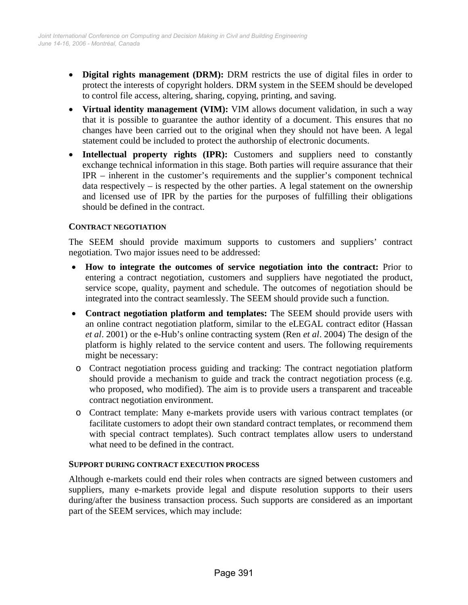- **Digital rights management (DRM):** DRM restricts the use of digital files in order to protect the interests of copyright holders. DRM system in the SEEM should be developed to control file access, altering, sharing, copying, printing, and saving.
- **Virtual identity management (VIM):** VIM allows document validation, in such a way that it is possible to guarantee the author identity of a document. This ensures that no changes have been carried out to the original when they should not have been. A legal statement could be included to protect the authorship of electronic documents.
- Intellectual property rights (IPR): Customers and suppliers need to constantly exchange technical information in this stage. Both parties will require assurance that their IPR – inherent in the customer's requirements and the supplier's component technical data respectively  $-$  is respected by the other parties. A legal statement on the ownership and licensed use of IPR by the parties for the purposes of fulfilling their obligations should be defined in the contract.

### **CONTRACT NEGOTIATION**

The SEEM should provide maximum supports to customers and suppliers' contract negotiation. Two major issues need to be addressed:

- **How to integrate the outcomes of service negotiation into the contract:** Prior to entering a contract negotiation, customers and suppliers have negotiated the product, service scope, quality, payment and schedule. The outcomes of negotiation should be integrated into the contract seamlessly. The SEEM should provide such a function.
- **Contract negotiation platform and templates:** The SEEM should provide users with an online contract negotiation platform, similar to the eLEGAL contract editor (Hassan *et al*. 2001) or the e-Hub's online contracting system (Ren *et al*. 2004) The design of the platform is highly related to the service content and users. The following requirements might be necessary:
- o Contract negotiation process guiding and tracking: The contract negotiation platform should provide a mechanism to guide and track the contract negotiation process (e.g. who proposed, who modified). The aim is to provide users a transparent and traceable contract negotiation environment.
- o Contract template: Many e-markets provide users with various contract templates (or facilitate customers to adopt their own standard contract templates, or recommend them with special contract templates). Such contract templates allow users to understand what need to be defined in the contract.

#### **SUPPORT DURING CONTRACT EXECUTION PROCESS**

Although e-markets could end their roles when contracts are signed between customers and suppliers, many e-markets provide legal and dispute resolution supports to their users during/after the business transaction process. Such supports are considered as an important part of the SEEM services, which may include: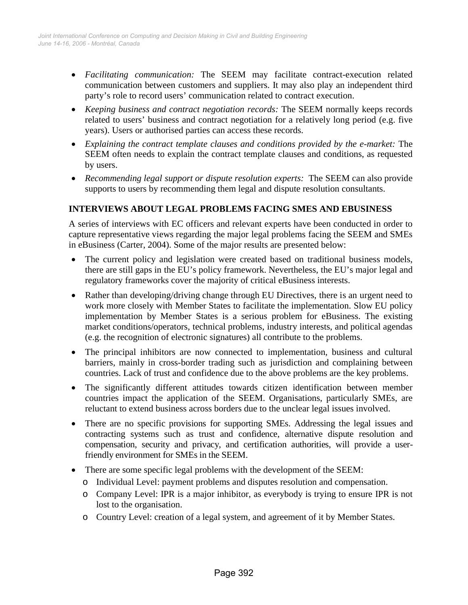- *Facilitating communication:* The SEEM may facilitate contract-execution related communication between customers and suppliers. It may also play an independent third party's role to record users' communication related to contract execution.
- *Keeping business and contract negotiation records:* The SEEM normally keeps records related to users' business and contract negotiation for a relatively long period (e.g. five years). Users or authorised parties can access these records.
- *Explaining the contract template clauses and conditions provided by the e-market:* The SEEM often needs to explain the contract template clauses and conditions, as requested by users.
- *Recommending legal support or dispute resolution experts:* The SEEM can also provide supports to users by recommending them legal and dispute resolution consultants.

### **INTERVIEWS ABOUT LEGAL PROBLEMS FACING SMES AND EBUSINESS**

A series of interviews with EC officers and relevant experts have been conducted in order to capture representative views regarding the major legal problems facing the SEEM and SMEs in eBusiness (Carter, 2004). Some of the major results are presented below:

- The current policy and legislation were created based on traditional business models, there are still gaps in the EU's policy framework. Nevertheless, the EU's major legal and regulatory frameworks cover the majority of critical eBusiness interests.
- Rather than developing/driving change through EU Directives, there is an urgent need to work more closely with Member States to facilitate the implementation. Slow EU policy implementation by Member States is a serious problem for eBusiness. The existing market conditions/operators, technical problems, industry interests, and political agendas (e.g. the recognition of electronic signatures) all contribute to the problems.
- The principal inhibitors are now connected to implementation, business and cultural barriers, mainly in cross-border trading such as jurisdiction and complaining between countries. Lack of trust and confidence due to the above problems are the key problems.
- The significantly different attitudes towards citizen identification between member countries impact the application of the SEEM. Organisations, particularly SMEs, are reluctant to extend business across borders due to the unclear legal issues involved.
- There are no specific provisions for supporting SMEs. Addressing the legal issues and contracting systems such as trust and confidence, alternative dispute resolution and compensation, security and privacy, and certification authorities, will provide a userfriendly environment for SMEs in the SEEM.
- There are some specific legal problems with the development of the SEEM:
	- o Individual Level: payment problems and disputes resolution and compensation.
	- o Company Level: IPR is a major inhibitor, as everybody is trying to ensure IPR is not lost to the organisation.
	- o Country Level: creation of a legal system, and agreement of it by Member States.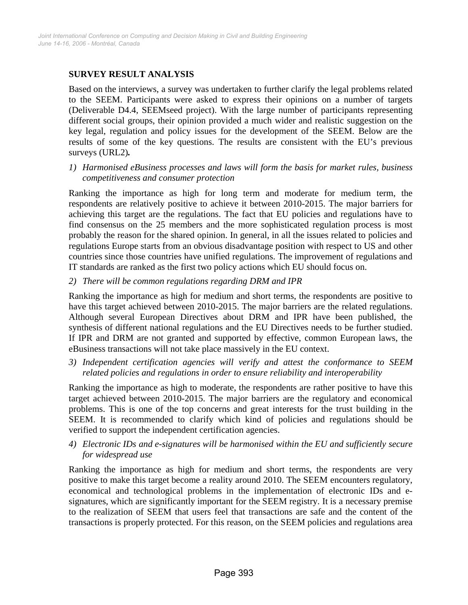# **SURVEY RESULT ANALYSIS**

Based on the interviews, a survey was undertaken to further clarify the legal problems related to the SEEM. Participants were asked to express their opinions on a number of targets (Deliverable D4.4, SEEMseed project). With the large number of participants representing different social groups, their opinion provided a much wider and realistic suggestion on the key legal, regulation and policy issues for the development of the SEEM. Below are the results of some of the key questions. The results are consistent with the EU's previous surveys (URL2)*.*

*1) Harmonised eBusiness processes and laws will form the basis for market rules, business competitiveness and consumer protection*

Ranking the importance as high for long term and moderate for medium term, the respondents are relatively positive to achieve it between 2010-2015. The major barriers for achieving this target are the regulations. The fact that EU policies and regulations have to find consensus on the 25 members and the more sophisticated regulation process is most probably the reason for the shared opinion. In general, in all the issues related to policies and regulations Europe starts from an obvious disadvantage position with respect to US and other countries since those countries have unified regulations. The improvement of regulations and IT standards are ranked as the first two policy actions which EU should focus on.

#### *2) There will be common regulations regarding DRM and IPR*

Ranking the importance as high for medium and short terms, the respondents are positive to have this target achieved between 2010-2015. The major barriers are the related regulations. Although several European Directives about DRM and IPR have been published, the synthesis of different national regulations and the EU Directives needs to be further studied. If IPR and DRM are not granted and supported by effective, common European laws, the eBusiness transactions will not take place massively in the EU context.

*3) Independent certification agencies will verify and attest the conformance to SEEM related policies and regulations in order to ensure reliability and interoperability*

Ranking the importance as high to moderate, the respondents are rather positive to have this target achieved between 2010-2015. The major barriers are the regulatory and economical problems. This is one of the top concerns and great interests for the trust building in the SEEM. It is recommended to clarify which kind of policies and regulations should be verified to support the independent certification agencies.

*4) Electronic IDs and e-signatures will be harmonised within the EU and sufficiently secure for widespread use*

Ranking the importance as high for medium and short terms, the respondents are very positive to make this target become a reality around 2010. The SEEM encounters regulatory, economical and technological problems in the implementation of electronic IDs and esignatures, which are significantly important for the SEEM registry. It is a necessary premise to the realization of SEEM that users feel that transactions are safe and the content of the transactions is properly protected. For this reason, on the SEEM policies and regulations area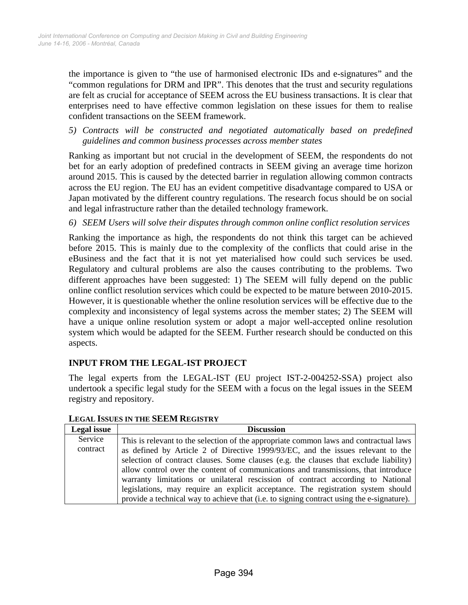the importance is given to "the use of harmonised electronic IDs and e-signatures" and the "common regulations for DRM and IPR". This denotes that the trust and security regulations are felt as crucial for acceptance of SEEM across the EU business transactions. It is clear that enterprises need to have effective common legislation on these issues for them to realise confident transactions on the SEEM framework.

*5) Contracts will be constructed and negotiated automatically based on predefined guidelines and common business processes across member states*

Ranking as important but not crucial in the development of SEEM, the respondents do not bet for an early adoption of predefined contracts in SEEM giving an average time horizon around 2015. This is caused by the detected barrier in regulation allowing common contracts across the EU region. The EU has an evident competitive disadvantage compared to USA or Japan motivated by the different country regulations. The research focus should be on social and legal infrastructure rather than the detailed technology framework.

*6) SEEM Users will solve their disputes through common online conflict resolution services*

Ranking the importance as high, the respondents do not think this target can be achieved before 2015. This is mainly due to the complexity of the conflicts that could arise in the eBusiness and the fact that it is not yet materialised how could such services be used. Regulatory and cultural problems are also the causes contributing to the problems. Two different approaches have been suggested: 1) The SEEM will fully depend on the public online conflict resolution services which could be expected to be mature between 2010-2015. However, it is questionable whether the online resolution services will be effective due to the complexity and inconsistency of legal systems across the member states; 2) The SEEM will have a unique online resolution system or adopt a major well-accepted online resolution system which would be adapted for the SEEM. Further research should be conducted on this aspects.

# **INPUT FROM THE LEGAL-IST PROJECT**

The legal experts from the LEGAL-IST (EU project IST-2-004252-SSA) project also undertook a specific legal study for the SEEM with a focus on the legal issues in the SEEM registry and repository.

| Legal issue         | <b>Discussion</b>                                                                                                                                                                                                                                                                                                                                                                                                                                                                                                                                                                                                           |
|---------------------|-----------------------------------------------------------------------------------------------------------------------------------------------------------------------------------------------------------------------------------------------------------------------------------------------------------------------------------------------------------------------------------------------------------------------------------------------------------------------------------------------------------------------------------------------------------------------------------------------------------------------------|
| Service<br>contract | This is relevant to the selection of the appropriate common laws and contractual laws<br>as defined by Article 2 of Directive 1999/93/EC, and the issues relevant to the<br>selection of contract clauses. Some clauses (e.g. the clauses that exclude liability)<br>allow control over the content of communications and transmissions, that introduce<br>warranty limitations or unilateral rescission of contract according to National<br>legislations, may require an explicit acceptance. The registration system should<br>provide a technical way to achieve that (i.e. to signing contract using the e-signature). |

**LEGAL ISSUES IN THE SEEM REGISTRY**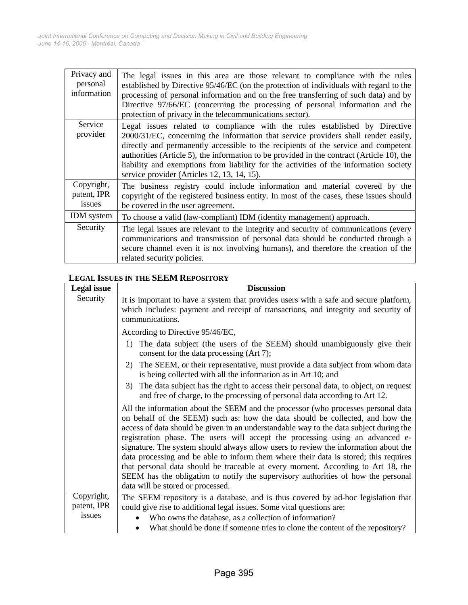| Privacy and<br>personal<br>information | The legal issues in this area are those relevant to compliance with the rules<br>established by Directive 95/46/EC (on the protection of individuals with regard to the<br>processing of personal information and on the free transferring of such data) and by<br>Directive 97/66/EC (concerning the processing of personal information and the<br>protection of privacy in the telecommunications sector).                                                                                |
|----------------------------------------|---------------------------------------------------------------------------------------------------------------------------------------------------------------------------------------------------------------------------------------------------------------------------------------------------------------------------------------------------------------------------------------------------------------------------------------------------------------------------------------------|
| <b>Service</b><br>provider             | Legal issues related to compliance with the rules established by Directive<br>2000/31/EC, concerning the information that service providers shall render easily,<br>directly and permanently accessible to the recipients of the service and competent<br>authorities (Article 5), the information to be provided in the contract (Article 10), the<br>liability and exemptions from liability for the activities of the information society<br>service provider (Articles 12, 13, 14, 15). |
| Copyright,<br>patent, IPR<br>issues    | The business registry could include information and material covered by the<br>copyright of the registered business entity. In most of the cases, these issues should<br>be covered in the user agreement.                                                                                                                                                                                                                                                                                  |
| <b>IDM</b> system                      | To choose a valid (law-compliant) IDM (identity management) approach.                                                                                                                                                                                                                                                                                                                                                                                                                       |
| Security                               | The legal issues are relevant to the integrity and security of communications (every<br>communications and transmission of personal data should be conducted through a<br>secure channel even it is not involving humans), and therefore the creation of the<br>related security policies.                                                                                                                                                                                                  |

# **LEGAL ISSUES IN THE SEEM REPOSITORY**

| <b>Legal</b> issue                  | <b>Discussion</b>                                                                                                                                                                                                                                                                                                                                                                                                                                                                                                                                                                                                                                                                                                                          |
|-------------------------------------|--------------------------------------------------------------------------------------------------------------------------------------------------------------------------------------------------------------------------------------------------------------------------------------------------------------------------------------------------------------------------------------------------------------------------------------------------------------------------------------------------------------------------------------------------------------------------------------------------------------------------------------------------------------------------------------------------------------------------------------------|
| Security                            | It is important to have a system that provides users with a safe and secure platform,<br>which includes: payment and receipt of transactions, and integrity and security of<br>communications.                                                                                                                                                                                                                                                                                                                                                                                                                                                                                                                                             |
|                                     | According to Directive 95/46/EC,                                                                                                                                                                                                                                                                                                                                                                                                                                                                                                                                                                                                                                                                                                           |
|                                     | The data subject (the users of the SEEM) should unambiguously give their<br>1)<br>consent for the data processing (Art 7);                                                                                                                                                                                                                                                                                                                                                                                                                                                                                                                                                                                                                 |
|                                     | The SEEM, or their representative, must provide a data subject from whom data<br>2)<br>is being collected with all the information as in Art 10; and                                                                                                                                                                                                                                                                                                                                                                                                                                                                                                                                                                                       |
|                                     | The data subject has the right to access their personal data, to object, on request<br>3)<br>and free of charge, to the processing of personal data according to Art 12.                                                                                                                                                                                                                                                                                                                                                                                                                                                                                                                                                                   |
|                                     | All the information about the SEEM and the processor (who processes personal data<br>on behalf of the SEEM) such as: how the data should be collected, and how the<br>access of data should be given in an understandable way to the data subject during the<br>registration phase. The users will accept the processing using an advanced e-<br>signature. The system should always allow users to review the information about the<br>data processing and be able to inform them where their data is stored; this requires<br>that personal data should be traceable at every moment. According to Art 18, the<br>SEEM has the obligation to notify the supervisory authorities of how the personal<br>data will be stored or processed. |
| Copyright,<br>patent, IPR<br>issues | The SEEM repository is a database, and is thus covered by ad-hoc legislation that<br>could give rise to additional legal issues. Some vital questions are:<br>Who owns the database, as a collection of information?                                                                                                                                                                                                                                                                                                                                                                                                                                                                                                                       |
|                                     | What should be done if someone tries to clone the content of the repository?                                                                                                                                                                                                                                                                                                                                                                                                                                                                                                                                                                                                                                                               |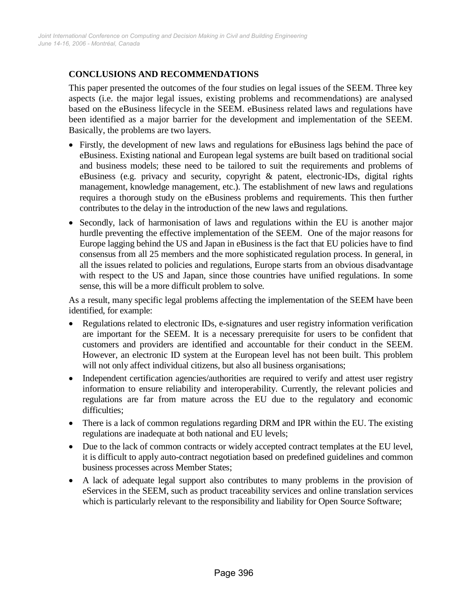# **CONCLUSIONS AND RECOMMENDATIONS**

This paper presented the outcomes of the four studies on legal issues of the SEEM. Three key aspects (i.e. the major legal issues, existing problems and recommendations) are analysed based on the eBusiness lifecycle in the SEEM. eBusiness related laws and regulations have been identified as a major barrier for the development and implementation of the SEEM. Basically, the problems are two layers.

- Firstly, the development of new laws and regulations for eBusiness lags behind the pace of eBusiness. Existing national and European legal systems are built based on traditional social and business models; these need to be tailored to suit the requirements and problems of eBusiness (e.g. privacy and security, copyright & patent, electronic-IDs, digital rights management, knowledge management, etc.). The establishment of new laws and regulations requires a thorough study on the eBusiness problems and requirements. This then further contributes to the delay in the introduction of the new laws and regulations.
- Secondly, lack of harmonisation of laws and regulations within the EU is another major hurdle preventing the effective implementation of the SEEM. One of the major reasons for Europe lagging behind the US and Japan in eBusiness is the fact that EU policies have to find consensus from all 25 members and the more sophisticated regulation process. In general, in all the issues related to policies and regulations, Europe starts from an obvious disadvantage with respect to the US and Japan, since those countries have unified regulations. In some sense, this will be a more difficult problem to solve.

As a result, many specific legal problems affecting the implementation of the SEEM have been identified, for example:

- Regulations related to electronic IDs, e-signatures and user registry information verification are important for the SEEM. It is a necessary prerequisite for users to be confident that customers and providers are identified and accountable for their conduct in the SEEM. However, an electronic ID system at the European level has not been built. This problem will not only affect individual citizens, but also all business organisations;
- Independent certification agencies/authorities are required to verify and attest user registry information to ensure reliability and interoperability. Currently, the relevant policies and regulations are far from mature across the EU due to the regulatory and economic difficulties:
- There is a lack of common regulations regarding DRM and IPR within the EU. The existing regulations are inadequate at both national and EU levels;
- Due to the lack of common contracts or widely accepted contract templates at the EU level, it is difficult to apply auto-contract negotiation based on predefined guidelines and common business processes across Member States;
- A lack of adequate legal support also contributes to many problems in the provision of eServices in the SEEM, such as product traceability services and online translation services which is particularly relevant to the responsibility and liability for Open Source Software;